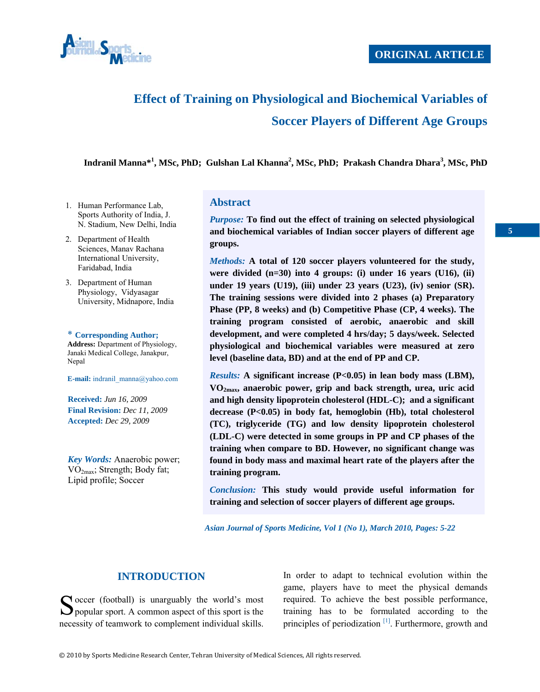

# **Effect of Training on Physiological and Biochemical Variables of Soccer Players of Different Age Groups**

**Indranil Manna\*<sup>1</sup> , MSc, PhD; Gulshan Lal Khanna<sup>2</sup> , MSc, PhD; Prakash Chandra Dhara<sup>3</sup> , MSc, PhD**

- 1. Human Performance Lab, Sports Authority of India, J. N. Stadium, New Delhi, India
- 2. Department of Health Sciences, Manav Rachana International University, Faridabad, India
- 3. Department of Human Physiology, Vidyasagar University, Midnapore, India

\* **Corresponding Author; Address:** Department of Physiology, Janaki Medical College, Janakpur, Nepal

**E-mail:** indranil\_manna@yahoo.com

**Received:** *Jun 16, 2009* **Final Revision:** *Dec 11, 2009* **Accepted:** *Dec 29, 2009* 

*Key Words:* Anaerobic power; VO2max; Strength; Body fat; Lipid profile; Soccer

#### **Abstract**

*Purpose:* **To find out the effect of training on selected physiological and biochemical variables of Indian soccer players of different age groups.** 

*Methods:* **A total of 120 soccer players volunteered for the study, were divided (n=30) into 4 groups: (i) under 16 years (U16), (ii) under 19 years (U19), (iii) under 23 years (U23), (iv) senior (SR). The training sessions were divided into 2 phases (a) Preparatory Phase (PP, 8 weeks) and (b) Competitive Phase (CP, 4 weeks). The training program consisted of aerobic, anaerobic and skill development, and were completed 4 hrs/day; 5 days/week. Selected physiological and biochemical variables were measured at zero level (baseline data, BD) and at the end of PP and CP.** 

*Results:* **A significant increase (P<0.05) in lean body mass (LBM), VO2max, anaerobic power, grip and back strength, urea, uric acid and high density lipoprotein cholesterol (HDL-C); and a significant decrease (P<0.05) in body fat, hemoglobin (Hb), total cholesterol (TC), triglyceride (TG) and low density lipoprotein cholesterol (LDL-C) were detected in some groups in PP and CP phases of the training when compare to BD. However, no significant change was found in body mass and maximal heart rate of the players after the training program.** 

*Conclusion:* **This study would provide useful information for training and selection of soccer players of different age groups.** 

 *Asian Journal of Sports Medicine, Vol 1 (No 1), March 2010, Pages: 5-22* 

## **INTRODUCTION**

 $\bigcap$  occer (football) is unarguably the world's most Soccer (football) is unarguably the world's most<br>popular sport. A common aspect of this sport is the necessity of teamwork to complement individual skills.

In order to adapt to technical evolution within the game, players have to meet the physical demands required. To achieve the best possible performance, training has to be formulated according to the principles of periodization <sup>[1]</sup>. Furthermore, growth and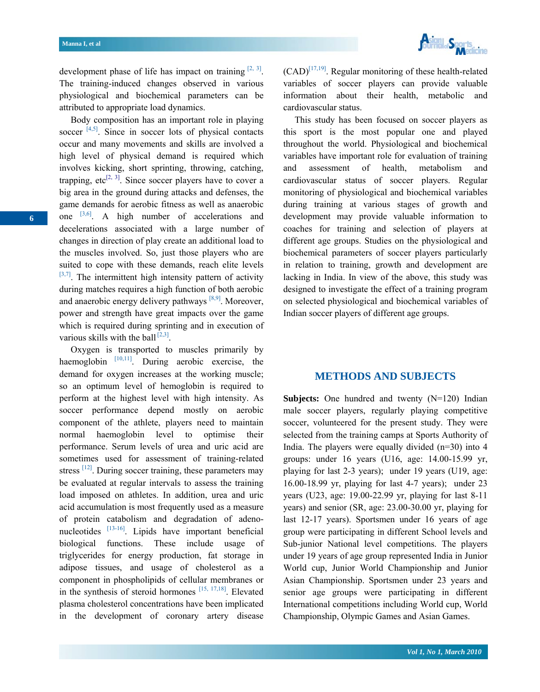

development phase of life has impact on training  $[2, 3]$ . The training-induced changes observed in various physiological and biochemical parameters can be attributed to appropriate load dynamics.

 Body composition has an important role in playing soccer  $[4,5]$ . Since in soccer lots of physical contacts occur and many movements and skills are involved a high level of physical demand is required which involves kicking, short sprinting, throwing, catching, trapping, etc<sup>[2, 3]</sup>. Since soccer players have to cover a big area in the ground during attacks and defenses, the game demands for aerobic fitness as well as anaerobic one  $[3,6]$ . A high number of accelerations and decelerations associated with a large number of changes in direction of play create an additional load to the muscles involved. So, just those players who are suited to cope with these demands, reach elite levels  $[3,7]$ . The intermittent high intensity pattern of activity during matches requires a high function of both aerobic and anaerobic energy delivery pathways  $[8,9]$ . Moreover, power and strength have great impacts over the game which is required during sprinting and in execution of various skills with the ball  $[2,3]$ .

 Oxygen is transported to muscles primarily by haemoglobin  $[10,11]$ . During aerobic exercise, the demand for oxygen increases at the working muscle; so an optimum level of hemoglobin is required to perform at the highest level with high intensity. As soccer performance depend mostly on aerobic component of the athlete, players need to maintain normal haemoglobin level to optimise their performance. Serum levels of urea and uric acid are sometimes used for assessment of training-related stress <sup>[12]</sup>. During soccer training, these parameters may be evaluated at regular intervals to assess the training load imposed on athletes. In addition, urea and uric acid accumulation is most frequently used as a measure of protein catabolism and degradation of adenonucleotides [13-16]. Lipids have important beneficial biological functions. These include usage of triglycerides for energy production, fat storage in adipose tissues, and usage of cholesterol as a component in phospholipids of cellular membranes or in the synthesis of steroid hormones  $[15, 17, 18]$ . Elevated plasma cholesterol concentrations have been implicated in the development of coronary artery disease

 $(CAD)^{[17,19]}$ . Regular monitoring of these health-related variables of soccer players can provide valuable information about their health, metabolic and cardiovascular status.

 This study has been focused on soccer players as this sport is the most popular one and played throughout the world. Physiological and biochemical variables have important role for evaluation of training and assessment of health, metabolism and cardiovascular status of soccer players. Regular monitoring of physiological and biochemical variables during training at various stages of growth and development may provide valuable information to coaches for training and selection of players at different age groups. Studies on the physiological and biochemical parameters of soccer players particularly in relation to training, growth and development are lacking in India. In view of the above, this study was designed to investigate the effect of a training program on selected physiological and biochemical variables of Indian soccer players of different age groups.

#### **METHODS AND SUBJECTS**

**Subjects:** One hundred and twenty (N=120) Indian male soccer players, regularly playing competitive soccer, volunteered for the present study. They were selected from the training camps at Sports Authority of India. The players were equally divided (n=30) into 4 groups: under 16 years (U16, age: 14.00-15.99 yr, playing for last 2-3 years); under 19 years (U19, age: 16.00-18.99 yr, playing for last 4-7 years); under 23 years (U23, age: 19.00-22.99 yr, playing for last 8-11 years) and senior (SR, age: 23.00-30.00 yr, playing for last 12-17 years). Sportsmen under 16 years of age group were participating in different School levels and Sub-junior National level competitions. The players under 19 years of age group represented India in Junior World cup, Junior World Championship and Junior Asian Championship. Sportsmen under 23 years and senior age groups were participating in different International competitions including World cup, World Championship, Olympic Games and Asian Games.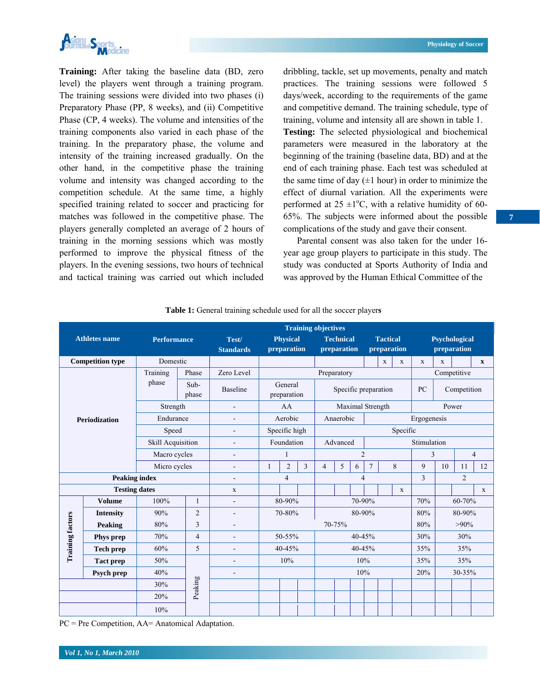

**Training:** After taking the baseline data (BD, zero level) the players went through a training program. The training sessions were divided into two phases (i) Preparatory Phase (PP, 8 weeks), and (ii) Competitive Phase (CP, 4 weeks). The volume and intensities of the training components also varied in each phase of the training. In the preparatory phase, the volume and intensity of the training increased gradually. On the other hand, in the competitive phase the training volume and intensity was changed according to the competition schedule. At the same time, a highly specified training related to soccer and practicing for matches was followed in the competitive phase. The players generally completed an average of 2 hours of training in the morning sessions which was mostly performed to improve the physical fitness of the players. In the evening sessions, two hours of technical and tactical training was carried out which included

dribbling, tackle, set up movements, penalty and match practices. The training sessions were followed 5 days/week, according to the requirements of the game and competitive demand. The training schedule, type of training, volume and intensity all are shown in table 1. **Testing:** The selected physiological and biochemical parameters were measured in the laboratory at the beginning of the training (baseline data, BD) and at the end of each training phase. Each test was scheduled at the same time of day  $(\pm 1$  hour) in order to minimize the effect of diurnal variation. All the experiments were performed at  $25 \pm 1$ °C, with a relative humidity of 60-65%. The subjects were informed about the possible complications of the study and gave their consent.

 Parental consent was also taken for the under 16 year age group players to participate in this study. The study was conducted at Sports Authority of India and was approved by the Human Ethical Committee of the

|                         |                      |                    | <b>Training objectives</b> |                              |                                |                |                  |                                                                   |        |             |                                     |             |              |               |             |         |              |
|-------------------------|----------------------|--------------------|----------------------------|------------------------------|--------------------------------|----------------|------------------|-------------------------------------------------------------------|--------|-------------|-------------------------------------|-------------|--------------|---------------|-------------|---------|--------------|
| <b>Athletes name</b>    |                      | <b>Performance</b> |                            | Test/<br><b>Standards</b>    | <b>Physical</b><br>preparation |                |                  | <b>Tactical</b><br><b>Technical</b><br>preparation<br>preparation |        |             | <b>Psychological</b><br>preparation |             |              |               |             |         |              |
| <b>Competition type</b> |                      | Domestic           |                            |                              |                                |                |                  |                                                                   |        |             |                                     | $\mathbf x$ | $\mathbf{x}$ | $\mathbf{x}$  | $\mathbf x$ |         | $\mathbf{x}$ |
| <b>Periodization</b>    |                      | Training<br>Phase  |                            | Zero Level                   |                                | Preparatory    |                  |                                                                   |        |             |                                     | Competitive |              |               |             |         |              |
|                         |                      | phase              | Sub-<br>phase              | <b>Baseline</b>              | General<br>preparation         |                |                  | Specific preparation                                              |        |             |                                     | PC          | Competition  |               |             |         |              |
|                         |                      | Strength           |                            | $\overline{\phantom{a}}$     | AA                             |                | Maximal Strength |                                                                   |        | Power       |                                     |             |              |               |             |         |              |
|                         |                      | Endurance          |                            | $\overline{\phantom{a}}$     | Aerobic<br>Anaerobic           |                |                  |                                                                   |        | Ergogenesis |                                     |             |              |               |             |         |              |
|                         |                      | Speed              |                            | $\overline{\phantom{a}}$     | Specific high                  |                | Specific         |                                                                   |        |             |                                     |             |              |               |             |         |              |
|                         |                      | Skill Acquisition  |                            | $\blacksquare$               | Foundation                     |                |                  | Advanced                                                          |        |             |                                     | Stimulation |              |               |             |         |              |
|                         |                      | Macro cycles       |                            | $\qquad \qquad \blacksquare$ | $\mathbf{1}$                   |                | $\overline{2}$   |                                                                   | 3      |             | $\overline{4}$                      |             |              |               |             |         |              |
|                         |                      | Micro cycles       |                            | $\blacksquare$               | 1                              | $\overline{2}$ | $\overline{3}$   | $\overline{4}$                                                    | 5      | 6           | $\overline{7}$                      |             | $\,8\,$      | 9             | 10          | 11      | 12           |
|                         | <b>Peaking index</b> |                    |                            | $\overline{a}$               |                                | $\overline{4}$ |                  | 3<br>$\overline{4}$                                               |        |             | $\overline{2}$                      |             |              |               |             |         |              |
|                         | <b>Testing dates</b> |                    |                            | X                            |                                |                |                  |                                                                   |        |             |                                     |             | $\mathbf X$  |               |             |         | $\mathbf{X}$ |
|                         | <b>Volume</b>        | 100%               | 1                          | $\blacksquare$               |                                | 80-90%         |                  |                                                                   |        | 70-90%      |                                     |             |              | 60-70%<br>70% |             |         |              |
|                         | <b>Intensity</b>     | 90%                | $\overline{2}$             | ۰                            |                                | 70-80%         |                  |                                                                   |        | 80-90%      |                                     |             |              | 80%           |             | 80-90%  |              |
|                         | Peaking              | 80%                | 3                          | ٠                            |                                |                |                  |                                                                   | 70-75% |             |                                     |             |              | 80%           |             | $>90\%$ |              |
|                         | Phys prep            | 70%                | $\overline{4}$             | ۰                            |                                | 50-55%         |                  | $40 - 45%$                                                        |        |             |                                     | 30%         |              | 30%           |             |         |              |
| <b>Training factors</b> | <b>Tech prep</b>     | 60%                | 5                          | ۰                            | 40-45%                         |                |                  | $40 - 45%$                                                        |        |             |                                     | 35%         | 35%          |               |             |         |              |
|                         | <b>Tact prep</b>     | 50%                |                            | ۰                            |                                | 10%            |                  |                                                                   |        |             | 10%                                 |             | 35%          | 35%           |             |         |              |
|                         | Psych prep           | 40%                |                            | ÷                            |                                |                | 10%              |                                                                   |        | 20%         | 30-35%                              |             |              |               |             |         |              |
|                         |                      | 30%                | Peaking                    |                              |                                |                |                  |                                                                   |        |             |                                     |             |              |               |             |         |              |
|                         |                      | 20%                |                            |                              |                                |                |                  |                                                                   |        |             |                                     |             |              |               |             |         |              |
|                         |                      | 10%                |                            |                              |                                |                |                  |                                                                   |        |             |                                     |             |              |               |             |         |              |

**Table 1:** General training schedule used for all the soccer player**s** 

PC = Pre Competition, AA= Anatomical Adaptation.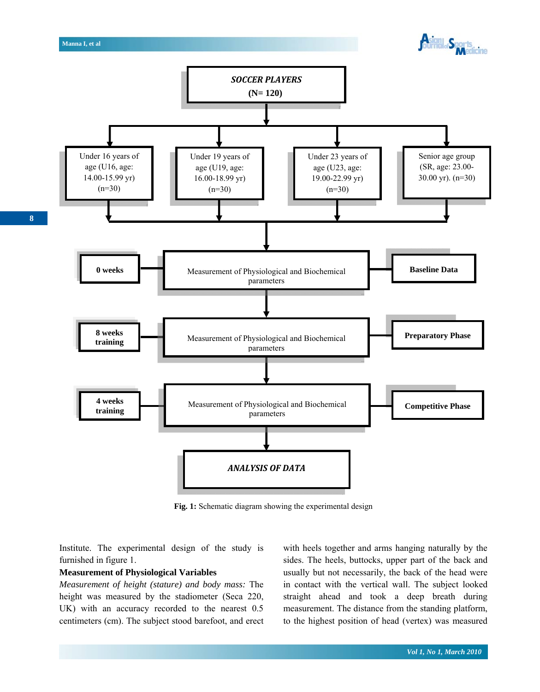

Fig. 1: Schematic diagram showing the experimental design

Institute. The experimental design of the study is furnished in figure 1.

#### **Measurement of Physiological Variables**

*Measurement of height (stature) and body mass:* The height was measured by the stadiometer (Seca 220, UK) with an accuracy recorded to the nearest 0.5 centimeters (cm). The subject stood barefoot, and erect with heels together and arms hanging naturally by the sides. The heels, buttocks, upper part of the back and usually but not necessarily, the back of the head were in contact with the vertical wall. The subject looked straight ahead and took a deep breath during measurement. The distance from the standing platform, to the highest position of head (vertex) was measured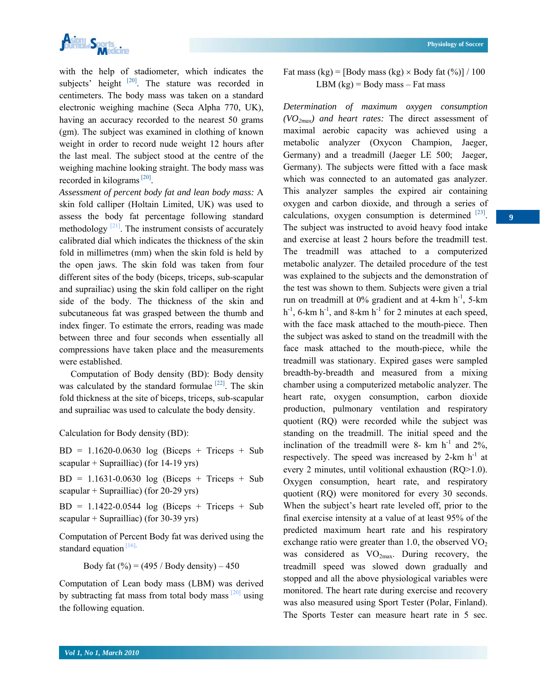

with the help of stadiometer, which indicates the subjects' height  $[20]$ . The stature was recorded in centimeters. The body mass was taken on a standard electronic weighing machine (Seca Alpha 770, UK), having an accuracy recorded to the nearest 50 grams (gm). The subject was examined in clothing of known weight in order to record nude weight 12 hours after the last meal. The subject stood at the centre of the weighing machine looking straight. The body mass was recorded in kilograms [20].

*Assessment of percent body fat and lean body mass:* A skin fold calliper (Holtain Limited, UK) was used to assess the body fat percentage following standard methodology  $\left[\frac{21}{1}\right]$ . The instrument consists of accurately calibrated dial which indicates the thickness of the skin fold in millimetres (mm) when the skin fold is held by the open jaws. The skin fold was taken from four different sites of the body (biceps, triceps, sub-scapular and suprailiac) using the skin fold calliper on the right side of the body. The thickness of the skin and subcutaneous fat was grasped between the thumb and index finger. To estimate the errors, reading was made between three and four seconds when essentially all compressions have taken place and the measurements were established.

 Computation of Body density (BD): Body density was calculated by the standard formulae  $[22]$ . The skin fold thickness at the site of biceps, triceps, sub-scapular and suprailiac was used to calculate the body density.

Calculation for Body density (BD):

 $BD = 1.1620 - 0.0630$  log (Biceps + Triceps + Sub scapular + Suprailliac) (for 14-19 yrs)

 $BD = 1.1631 - 0.0630$  log (Biceps + Triceps + Sub scapular + Suprailliac) (for 20-29 yrs)

 $BD = 1.1422 - 0.0544$  log (Biceps + Triceps + Sub scapular + Suprailliac) (for 30-39 yrs)

Computation of Percent Body fat was derived using the standard equation  $[16]$ .

Body fat  $(\frac{9}{6}) = (495 / \text{Body density}) - 450$ 

Computation of Lean body mass (LBM) was derived by subtracting fat mass from total body mass  $\frac{[20]}{]}$  using the following equation.

Fat mass (kg) = [Body mass (kg)  $\times$  Body fat (%)] / 100 LBM  $(kg)$  = Body mass – Fat mass

*Determination of maximum oxygen consumption*   $(VO_{2max})$  and heart rates: The direct assessment of maximal aerobic capacity was achieved using a metabolic analyzer (Oxycon Champion, Jaeger, Germany) and a treadmill (Jaeger LE 500; Jaeger, Germany). The subjects were fitted with a face mask which was connected to an automated gas analyzer. This analyzer samples the expired air containing oxygen and carbon dioxide, and through a series of calculations, oxygen consumption is determined  $[23]$ . The subject was instructed to avoid heavy food intake and exercise at least 2 hours before the treadmill test. The treadmill was attached to a computerized metabolic analyzer. The detailed procedure of the test was explained to the subjects and the demonstration of the test was shown to them. Subjects were given a trial run on treadmill at  $0\%$  gradient and at 4-km h<sup>-1</sup>, 5-km  $h^{-1}$ , 6-km  $h^{-1}$ , and 8-km  $h^{-1}$  for 2 minutes at each speed, with the face mask attached to the mouth-piece. Then the subject was asked to stand on the treadmill with the face mask attached to the mouth-piece, while the treadmill was stationary. Expired gases were sampled breadth-by-breadth and measured from a mixing chamber using a computerized metabolic analyzer. The heart rate, oxygen consumption, carbon dioxide production, pulmonary ventilation and respiratory quotient (RQ) were recorded while the subject was standing on the treadmill. The initial speed and the inclination of the treadmill were 8- km  $h^{-1}$  and 2%, respectively. The speed was increased by  $2-km$  h<sup>-1</sup> at every 2 minutes, until volitional exhaustion (RQ>1.0). Oxygen consumption, heart rate, and respiratory quotient (RQ) were monitored for every 30 seconds. When the subject's heart rate leveled off, prior to the final exercise intensity at a value of at least 95% of the predicted maximum heart rate and his respiratory exchange ratio were greater than 1.0, the observed  $VO<sub>2</sub>$ was considered as  $VO<sub>2max</sub>$ . During recovery, the treadmill speed was slowed down gradually and stopped and all the above physiological variables were monitored. The heart rate during exercise and recovery was also measured using Sport Tester (Polar, Finland). The Sports Tester can measure heart rate in 5 sec.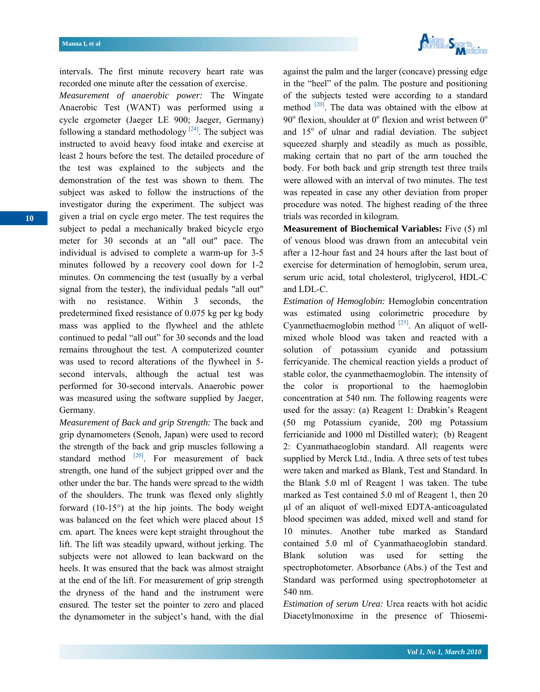

intervals. The first minute recovery heart rate was recorded one minute after the cessation of exercise.

*Measurement of anaerobic power:* The Wingate Anaerobic Test (WANT) was performed using a cycle ergometer (Jaeger LE 900; Jaeger, Germany) following a standard methodology  $[24]$ . The subject was instructed to avoid heavy food intake and exercise at least 2 hours before the test. The detailed procedure of the test was explained to the subjects and the demonstration of the test was shown to them. The subject was asked to follow the instructions of the investigator during the experiment. The subject was given a trial on cycle ergo meter. The test requires the subject to pedal a mechanically braked bicycle ergo meter for 30 seconds at an "all out" pace. The individual is advised to complete a warm-up for 3-5 minutes followed by a recovery cool down for 1-2 minutes. On commencing the test (usually by a verbal signal from the tester), the individual pedals "all out" with no resistance. Within 3 seconds, the predetermined fixed resistance of 0.075 kg per kg body mass was applied to the flywheel and the athlete continued to pedal "all out" for 30 seconds and the load remains throughout the test. A computerized counter was used to record alterations of the flywheel in 5 second intervals, although the actual test was performed for 30-second intervals. Anaerobic power was measured using the software supplied by Jaeger, Germany.

*Measurement of Back and grip Strength:* The back and grip dynamometers (Senoh, Japan) were used to record the strength of the back and grip muscles following a standard method  $[20]$ . For measurement of back strength, one hand of the subject gripped over and the other under the bar. The hands were spread to the width of the shoulders. The trunk was flexed only slightly forward  $(10-15)$ <sup>o</sup>) at the hip joints. The body weight was balanced on the feet which were placed about 15 cm. apart. The knees were kept straight throughout the lift. The lift was steadily upward, without jerking. The subjects were not allowed to lean backward on the heels. It was ensured that the back was almost straight at the end of the lift. For measurement of grip strength the dryness of the hand and the instrument were ensured. The tester set the pointer to zero and placed the dynamometer in the subject's hand, with the dial against the palm and the larger (concave) pressing edge in the "heel" of the palm. The posture and positioning of the subjects tested were according to a standard method [20]. The data was obtained with the elbow at  $90^\circ$  flexion, shoulder at  $0^\circ$  flexion and wrist between  $0^\circ$ and  $15^{\circ}$  of ulnar and radial deviation. The subject squeezed sharply and steadily as much as possible, making certain that no part of the arm touched the body. For both back and grip strength test three trails were allowed with an interval of two minutes. The test was repeated in case any other deviation from proper procedure was noted. The highest reading of the three trials was recorded in kilogram.

**Measurement of Biochemical Variables:** Five (5) ml of venous blood was drawn from an antecubital vein after a 12-hour fast and 24 hours after the last bout of exercise for determination of hemoglobin, serum urea, serum uric acid, total cholesterol, triglycerol, HDL-C and LDL-C.

*Estimation of Hemoglobin:* Hemoglobin concentration was estimated using colorimetric procedure by Cyanmethaemoglobin method  $^{[25]}$ . An aliquot of wellmixed whole blood was taken and reacted with a solution of potassium cyanide and potassium ferricyanide. The chemical reaction yields a product of stable color, the cyanmethaemoglobin. The intensity of the color is proportional to the haemoglobin concentration at 540 nm. The following reagents were used for the assay: (a) Reagent 1: Drabkin's Reagent (50 mg Potassium cyanide, 200 mg Potassium ferricianide and 1000 ml Distilled water); (b) Reagent 2: Cyanmathaeoglobin standard. All reagents were supplied by Merck Ltd., India. A three sets of test tubes were taken and marked as Blank, Test and Standard. In the Blank 5.0 ml of Reagent 1 was taken. The tube marked as Test contained 5.0 ml of Reagent 1, then 20 µl of an aliquot of well-mixed EDTA-anticoagulated blood specimen was added, mixed well and stand for 10 minutes. Another tube marked as Standard contained 5.0 ml of Cyanmathaeoglobin standard. Blank solution was used for setting the spectrophotometer. Absorbance (Abs.) of the Test and Standard was performed using spectrophotometer at 540 nm.

*Estimation of serum Urea:* Urea reacts with hot acidic Diacetylmonoxime in the presence of Thiosemi-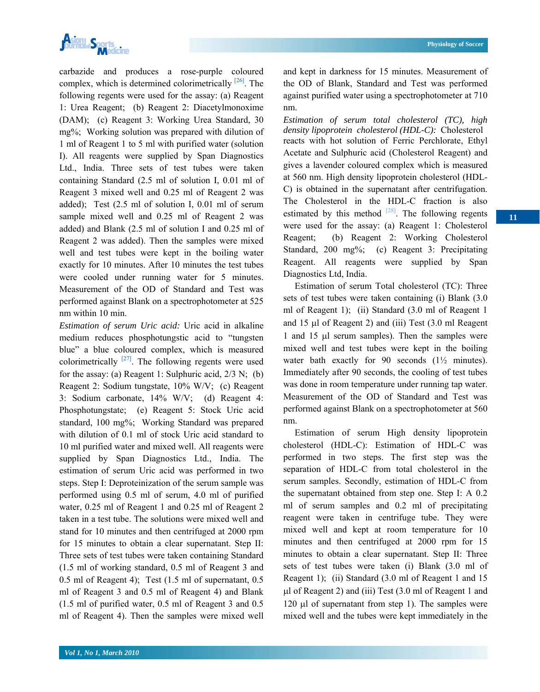

carbazide and produces a rose-purple coloured complex, which is determined colorimetrically  $[26]$ . The following regents were used for the assay: (a) Reagent 1: Urea Reagent; (b) Reagent 2: Diacetylmonoxime (DAM); (c) Reagent 3: Working Urea Standard, 30 mg%; Working solution was prepared with dilution of 1 ml of Reagent 1 to 5 ml with purified water (solution I). All reagents were supplied by Span Diagnostics Ltd., India. Three sets of test tubes were taken containing Standard (2.5 ml of solution I, 0.01 ml of Reagent 3 mixed well and 0.25 ml of Reagent 2 was added); Test (2.5 ml of solution I, 0.01 ml of serum sample mixed well and 0.25 ml of Reagent 2 was added) and Blank (2.5 ml of solution I and 0.25 ml of Reagent 2 was added). Then the samples were mixed well and test tubes were kept in the boiling water exactly for 10 minutes. After 10 minutes the test tubes were cooled under running water for 5 minutes. Measurement of the OD of Standard and Test was performed against Blank on a spectrophotometer at 525 nm within 10 min.

*Estimation of serum Uric acid:* Uric acid in alkaline medium reduces phosphotungstic acid to "tungsten blue" a blue coloured complex, which is measured colorimetrically  $[27]$ . The following regents were used for the assay: (a) Reagent 1: Sulphuric acid,  $2/3$  N; (b) Reagent 2: Sodium tungstate, 10% W/V; (c) Reagent 3: Sodium carbonate, 14% W/V; (d) Reagent 4: Phosphotungstate; (e) Reagent 5: Stock Uric acid standard, 100 mg%; Working Standard was prepared with dilution of 0.1 ml of stock Uric acid standard to 10 ml purified water and mixed well. All reagents were supplied by Span Diagnostics Ltd., India. The estimation of serum Uric acid was performed in two steps. Step I: Deproteinization of the serum sample was performed using 0.5 ml of serum, 4.0 ml of purified water, 0.25 ml of Reagent 1 and 0.25 ml of Reagent 2 taken in a test tube. The solutions were mixed well and stand for 10 minutes and then centrifuged at 2000 rpm for 15 minutes to obtain a clear supernatant. Step II: Three sets of test tubes were taken containing Standard (1.5 ml of working standard, 0.5 ml of Reagent 3 and 0.5 ml of Reagent 4); Test (1.5 ml of supernatant, 0.5 ml of Reagent 3 and 0.5 ml of Reagent 4) and Blank (1.5 ml of purified water, 0.5 ml of Reagent 3 and 0.5 ml of Reagent 4). Then the samples were mixed well

**11** 

and kept in darkness for 15 minutes. Measurement of the OD of Blank, Standard and Test was performed against purified water using a spectrophotometer at 710 nm.

*Estimation of serum total cholesterol (TC), high density lipoprotein cholesterol (HDL-C):* Cholesterol reacts with hot solution of Ferric Perchlorate, Ethyl Acetate and Sulphuric acid (Cholesterol Reagent) and gives a lavender coloured complex which is measured at 560 nm. High density lipoprotein cholesterol (HDL-C) is obtained in the supernatant after centrifugation. The Cholesterol in the HDL-C fraction is also estimated by this method  $[28]$ . The following regents were used for the assay: (a) Reagent 1: Cholesterol Reagent; (b) Reagent 2: Working Cholesterol Standard, 200 mg%; (c) Reagent 3: Precipitating Reagent. All reagents were supplied by Span Diagnostics Ltd, India.

 Estimation of serum Total cholesterol (TC): Three sets of test tubes were taken containing (i) Blank (3.0 ml of Reagent 1); (ii) Standard (3.0 ml of Reagent 1 and 15 μl of Reagent 2) and (iii) Test (3.0 ml Reagent 1 and 15 μl serum samples). Then the samples were mixed well and test tubes were kept in the boiling water bath exactly for 90 seconds  $(1\frac{1}{2})$  minutes). Immediately after 90 seconds, the cooling of test tubes was done in room temperature under running tap water. Measurement of the OD of Standard and Test was performed against Blank on a spectrophotometer at 560 nm.

 Estimation of serum High density lipoprotein cholesterol (HDL-C): Estimation of HDL-C was performed in two steps. The first step was the separation of HDL-C from total cholesterol in the serum samples. Secondly, estimation of HDL-C from the supernatant obtained from step one. Step I: A 0.2 ml of serum samples and 0.2 ml of precipitating reagent were taken in centrifuge tube. They were mixed well and kept at room temperature for 10 minutes and then centrifuged at 2000 rpm for 15 minutes to obtain a clear supernatant. Step II: Three sets of test tubes were taken (i) Blank (3.0 ml of Reagent 1); (ii) Standard (3.0 ml of Reagent 1 and 15 μl of Reagent 2) and (iii) Test (3.0 ml of Reagent 1 and 120 μl of supernatant from step 1). The samples were mixed well and the tubes were kept immediately in the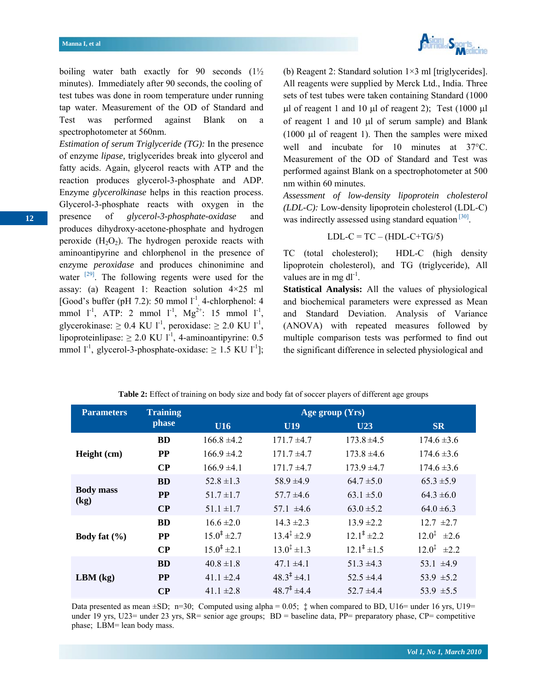

boiling water bath exactly for 90 seconds (1½ minutes). Immediately after 90 seconds, the cooling of test tubes was done in room temperature under running tap water. Measurement of the OD of Standard and Test was performed against Blank on a spectrophotometer at 560nm.

*Estimation of serum Triglyceride (TG):* In the presence of enzyme *lipase,* triglycerides break into glycerol and fatty acids. Again, glycerol reacts with ATP and the reaction produces glycerol-3-phosphate and ADP. Enzyme *glycerolkinase* helps in this reaction process. Glycerol-3-phosphate reacts with oxygen in the presence of *glycerol-3-phosphate-oxidase* and produces dihydroxy-acetone-phosphate and hydrogen peroxide  $(H_2O_2)$ . The hydrogen peroxide reacts with aminoantipyrine and chlorphenol in the presence of enzyme *peroxidase* and produces chinonimine and water  $[29]$ . The following regents were used for the assay: (a) Reagent 1: Reaction solution 4×25 ml [Good's buffer (pH 7.2): 50 mmol  $1^{-1}$ , 4-chlorphenol: 4 mmol  $1^{-1}$ , ATP: 2 mmol  $1^{-1}$ , Mg<sup>2+</sup>: 15 mmol  $1^{-1}$ , glycerokinase:  $\geq 0.4$  KU l<sup>-1</sup>, peroxidase:  $\geq 2.0$  KU l<sup>-1</sup>, lipoproteinlipase:  $\geq 2.0$  KU l<sup>-1</sup>, 4-aminoantipyrine: 0.5 mmol  $l^{-1}$ , glycerol-3-phosphate-oxidase:  $\geq$  1.5 KU  $l^{-1}$ ];

(b) Reagent 2: Standard solution  $1\times3$  ml [triglycerides]. All reagents were supplied by Merck Ltd., India. Three sets of test tubes were taken containing Standard (1000 μl of reagent 1 and 10 μl of reagent 2); Test  $(1000 \mu l)$ of reagent 1 and 10 μl of serum sample) and Blank (1000 μl of reagent 1). Then the samples were mixed well and incubate for 10 minutes at 37°C. Measurement of the OD of Standard and Test was performed against Blank on a spectrophotometer at 500 nm within 60 minutes.

*Assessment of low-density lipoprotein cholesterol (LDL-C):* Low-density lipoprotein cholesterol (LDL-C) was indirectly assessed using standard equation  $[30]$ .

## $LDL-C = TC - (HDL-C+TG/5)$

TC (total cholesterol); HDL-C (high density lipoprotein cholesterol), and TG (triglyceride), All values are in mg  $dl^{-1}$ .

**Statistical Analysis:** All the values of physiological and biochemical parameters were expressed as Mean and Standard Deviation. Analysis of Variance (ANOVA) with repeated measures followed by multiple comparison tests was performed to find out the significant difference in selected physiological and

| <b>Training</b><br><b>Parameters</b> |           | Age group $(Yrs)$      |                           |                                                                                                                                               |                             |  |  |  |  |
|--------------------------------------|-----------|------------------------|---------------------------|-----------------------------------------------------------------------------------------------------------------------------------------------|-----------------------------|--|--|--|--|
|                                      | phase     | U16                    | U19                       | U23                                                                                                                                           | <b>SR</b>                   |  |  |  |  |
|                                      | <b>BD</b> | $166.8 \pm 4.2$        | $171.7 \pm 4.7$           | $173.8 \pm 4.5$                                                                                                                               | $174.6 \pm 3.6$             |  |  |  |  |
| Height (cm)                          | <b>PP</b> | $166.9 \pm 4.2$        | $171.7 \pm 4.7$           | $173.8 \pm 4.6$                                                                                                                               | $174.6 \pm 3.6$             |  |  |  |  |
|                                      | CP        | $166.9 \pm 4.1$        | $171.7 \pm 4.7$           | $173.9 \pm 4.7$                                                                                                                               | $174.6 \pm 3.6$             |  |  |  |  |
|                                      | <b>BD</b> | $52.8 \pm 1.3$         | $58.9 \pm 4.9$            | $64.7 \pm 5.0$                                                                                                                                | $65.3 \pm 5.9$              |  |  |  |  |
| <b>Body mass</b><br>(kg)             | <b>PP</b> | $51.7 \pm 1.7$         | $57.7 \pm 4.6$            | $63.1 \pm 5.0$                                                                                                                                | $64.3 \pm 6.0$              |  |  |  |  |
|                                      | CP        | $51.1 \pm 1.7$         | 57.1 $\pm 4.6$            | $63.0 \pm 5.2$<br>$13.9 \pm 2.2$<br>$12.1^{\ddagger} \pm 2.2$<br>$12.1^{\ddagger}$ ±1.5<br>$51.3 \pm 4.3$<br>$52.5 \pm 4.4$<br>$52.7 \pm 4.4$ | $64.0 \pm 6.3$              |  |  |  |  |
|                                      | <b>BD</b> | $16.6 \pm 2.0$         | $14.3 \pm 2.3$            |                                                                                                                                               | $12.7 \pm 2.7$              |  |  |  |  |
| Body fat $(\% )$                     | <b>PP</b> | $15.0^{\ddagger}$ ±2.7 | $13.4^{\ddagger} \pm 2.9$ |                                                                                                                                               | $12.0^{\ddagger}$ $\pm 2.6$ |  |  |  |  |
|                                      | CP        | $15.0^{\ddagger}$ ±2.1 | $13.0^{\ddagger}$ ±1.3    |                                                                                                                                               | $12.0^{\ddagger}$ $\pm 2.2$ |  |  |  |  |
|                                      | <b>BD</b> | $40.8 \pm 1.8$         | $47.1 \pm 4.1$            |                                                                                                                                               | 53.1 $\pm 4.9$              |  |  |  |  |
| $LBM$ (kg)                           | <b>PP</b> | $41.1 \pm 2.4$         | $48.3^{\ddagger}$ ±4.1    |                                                                                                                                               | 53.9 $\pm$ 5.2              |  |  |  |  |
|                                      | $\bf CP$  | 41.1 $\pm 2.8$         | $48.7^{\ddagger}$ ±4.4    |                                                                                                                                               | 53.9 $\pm$ 5.5              |  |  |  |  |

**Table 2:** Effect of training on body size and body fat of soccer players of different age groups

Data presented as mean  $\pm SD$ ; n=30; Computed using alpha = 0.05;  $\ddagger$  when compared to BD, U16= under 16 yrs, U19= under 19 yrs, U23= under 23 yrs, SR= senior age groups; BD = baseline data, PP= preparatory phase, CP= competitive phase; LBM= lean body mass.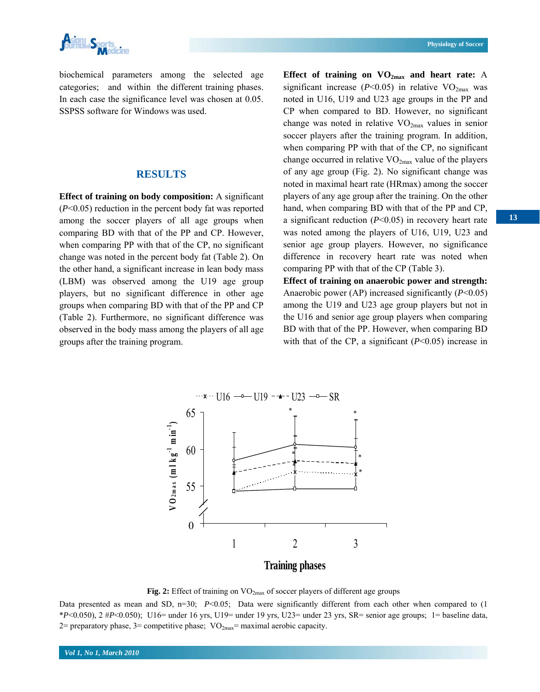

biochemical parameters among the selected age categories; and within the different training phases. In each case the significance level was chosen at 0.05. SSPSS software for Windows was used.

## **RESULTS**

**Effect of training on body composition:** A significant (*P*<0.05) reduction in the percent body fat was reported among the soccer players of all age groups when comparing BD with that of the PP and CP. However, when comparing PP with that of the CP, no significant change was noted in the percent body fat (Table 2). On the other hand, a significant increase in lean body mass (LBM) was observed among the U19 age group players, but no significant difference in other age groups when comparing BD with that of the PP and CP (Table 2). Furthermore, no significant difference was observed in the body mass among the players of all age groups after the training program.

Effect of training on  $VO_{2max}$  and heart rate: A significant increase ( $P$ <0.05) in relative  $VO_{2max}$  was noted in U16, U19 and U23 age groups in the PP and CP when compared to BD. However, no significant change was noted in relative  $VO_{2max}$  values in senior soccer players after the training program. In addition, when comparing PP with that of the CP, no significant change occurred in relative  $VO<sub>2max</sub>$  value of the players of any age group (Fig. 2). No significant change was noted in maximal heart rate (HRmax) among the soccer players of any age group after the training. On the other hand, when comparing BD with that of the PP and CP, a significant reduction (*P*<0.05) in recovery heart rate was noted among the players of U16, U19, U23 and senior age group players. However, no significance difference in recovery heart rate was noted when comparing PP with that of the CP (Table 3).

**Effect of training on anaerobic power and strength:**  Anaerobic power (AP) increased significantly (*P*<0.05) among the U19 and U23 age group players but not in the U16 and senior age group players when comparing BD with that of the PP. However, when comparing BD with that of the CP, a significant ( $P<0.05$ ) increase in



Fig. 2: Effect of training on VO<sub>2max</sub> of soccer players of different age groups

Data presented as mean and SD, n=30; *P*<0.05; Data were significantly different from each other when compared to (1) \**P*<0.050), 2 #*P*<0.050); U16= under 16 yrs, U19= under 19 yrs, U23= under 23 yrs, SR= senior age groups; 1= baseline data, 2= preparatory phase, 3= competitive phase;  $VO_{2max}$ = maximal aerobic capacity.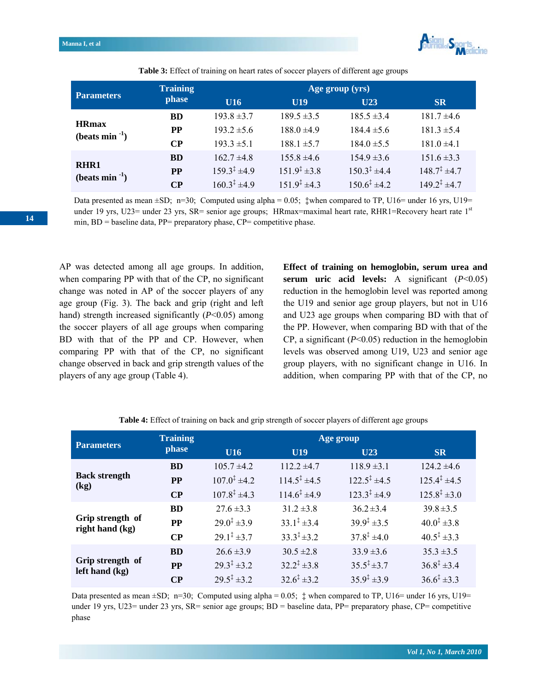

|                                 | <b>Training</b> | Age group (yrs)         |                            |                         |                         |  |  |  |  |
|---------------------------------|-----------------|-------------------------|----------------------------|-------------------------|-------------------------|--|--|--|--|
| <b>Parameters</b>               | phase           | U16                     | U19                        | U23                     | <b>SR</b>               |  |  |  |  |
|                                 | <b>BD</b>       | $193.8 \pm 3.7$         | $189.5 \pm 3.5$            | $185.5 \pm 3.4$         | $181.7 \pm 4.6$         |  |  |  |  |
| <b>HRmax</b><br>$(beats min-1)$ | <b>PP</b>       | $193.2 \pm 5.6$         | $188.0 \pm 4.9$            | $184.4 \pm 5.6$         | $181.3 \pm 5.4$         |  |  |  |  |
|                                 | $\bf CP$        | $193.3 \pm 5.1$         | $188.1 \pm 5.7$            | $184.0 \pm 5.5$         | $181.0 \pm 4.1$         |  |  |  |  |
|                                 | <b>BD</b>       | $162.7 \pm 4.8$         | $155.8 \pm 4.6$            | $154.9 \pm 3.6$         | $151.6 \pm 3.3$         |  |  |  |  |
| RHR1<br>$(beats min-1)$         | <b>PP</b>       | $159.3^{\ddagger}$ ±4.9 | $151.9^{\ddagger} \pm 3.8$ | $150.3^{\ddagger}$ ±4.4 | $148.7^{\ddagger}$ ±4.7 |  |  |  |  |
|                                 | $\bf CP$        | $160.3^{\ddagger}$ ±4.9 | $151.9^{\ddagger}$ ±4.3    | $150.6^{\ddagger}$ ±4.2 | $149.2^{\ddagger}$ ±4.7 |  |  |  |  |

**Table 3:** Effect of training on heart rates of soccer players of different age groups

Data presented as mean  $\pm SD$ ; n=30; Computed using alpha = 0.05;  $\pm$  when compared to TP, U16= under 16 yrs, U19= under 19 yrs, U23= under 23 yrs, SR= senior age groups; HRmax=maximal heart rate, RHR1=Recovery heart rate 1<sup>st</sup> min, BD = baseline data, PP= preparatory phase, CP= competitive phase.

AP was detected among all age groups. In addition, when comparing PP with that of the CP, no significant change was noted in AP of the soccer players of any age group (Fig. 3). The back and grip (right and left hand) strength increased significantly ( $P<0.05$ ) among the soccer players of all age groups when comparing BD with that of the PP and CP. However, when comparing PP with that of the CP, no significant change observed in back and grip strength values of the players of any age group (Table 4).

**Effect of training on hemoglobin, serum urea and serum uric acid levels:** A significant (*P*<0.05) reduction in the hemoglobin level was reported among the U19 and senior age group players, but not in U16 and U23 age groups when comparing BD with that of the PP. However, when comparing BD with that of the CP, a significant (*P*<0.05) reduction in the hemoglobin levels was observed among U19, U23 and senior age group players, with no significant change in U16. In addition, when comparing PP with that of the CP, no

| <b>Parameters</b>                    | <b>Training</b> | Age group                 |                           |                           |                            |  |  |  |  |
|--------------------------------------|-----------------|---------------------------|---------------------------|---------------------------|----------------------------|--|--|--|--|
|                                      | phase           | U16                       | U <sub>19</sub>           | U23                       | <b>SR</b>                  |  |  |  |  |
|                                      | <b>BD</b>       | $105.7 \pm 4.2$           | $112.2 \pm 4.7$           | $118.9 \pm 3.1$           | $124.2 \pm 4.6$            |  |  |  |  |
| <b>Back strength</b><br>(kg)         | <b>PP</b>       | $107.0^{\ddagger}$ ±4.2   | $114.5^{\ddagger}$ ±4.5   | $122.5^{\ddagger}$ ±4.5   | $125.4^{\ddagger}$ ±4.5    |  |  |  |  |
|                                      | CP              | $107.8^{\ddagger}$ ±4.3   | $114.6^{\ddagger}$ ±4.9   | $123.3^{\ddagger}$ ±4.9   | $125.8^{\ddagger} \pm 3.0$ |  |  |  |  |
|                                      | <b>BD</b>       | $27.6 \pm 3.3$            | $31.2 \pm 3.8$            | $36.2 \pm 3.4$            | $39.8 \pm 3.5$             |  |  |  |  |
| Grip strength of<br>right hand (kg)  | <b>PP</b>       | $29.0^{\ddagger}$ ±3.9    | $33.1^{\ddagger} \pm 3.4$ | $39.9^{\ddagger}$ ± 3.5   | $40.0^{\ddagger}$ ±3.8     |  |  |  |  |
|                                      | CP              | $29.1^{\ddagger} \pm 3.7$ | $33.3^{\ddagger} \pm 3.2$ | $37.8^{\ddagger}$ ±4.0    | $40.5^{\ddagger} \pm 3.3$  |  |  |  |  |
|                                      | <b>BD</b>       | $26.6 \pm 3.9$            | $30.5 \pm 2.8$            | $33.9 \pm 3.6$            | $35.3 \pm 3.5$             |  |  |  |  |
| Grip strength of<br>left hand $(kg)$ | <b>PP</b>       | $29.3^{\ddagger} \pm 3.2$ | $32.2^{\ddagger} \pm 3.8$ | $35.5^{\ddagger} \pm 3.7$ | $36.8^{\ddagger} \pm 3.4$  |  |  |  |  |
|                                      | CP              | $29.5^{\ddagger} \pm 3.2$ | $32.6^{\ddagger} \pm 3.2$ | $35.9^{\ddagger} \pm 3.9$ | $36.6^{\ddagger} \pm 3.3$  |  |  |  |  |

**Table 4:** Effect of training on back and grip strength of soccer players of different age groups

Data presented as mean  $\pm SD$ ; n=30; Computed using alpha = 0.05;  $\ddagger$  when compared to TP, U16= under 16 yrs, U19= under 19 yrs, U23= under 23 yrs, SR= senior age groups; BD = baseline data, PP= preparatory phase, CP= competitive phase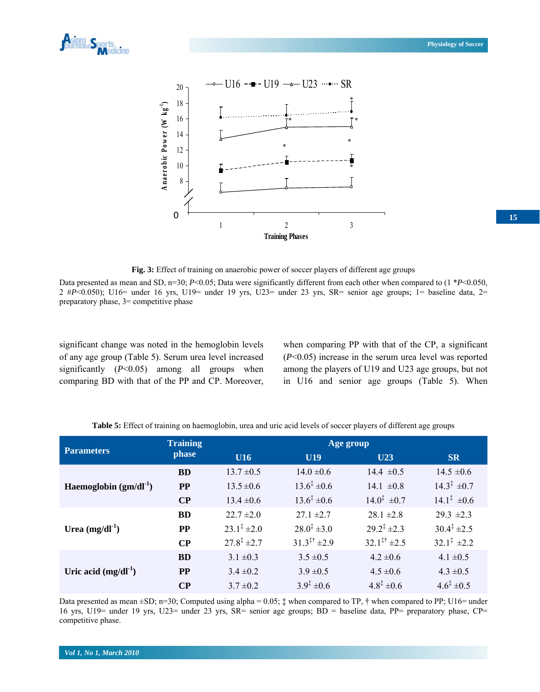



**Fig. 3:** Effect of training on anaerobic power of soccer players of different age groups

Data presented as mean and SD, n=30; *P*<0.05; Data were significantly different from each other when compared to (1 \**P*<0.050,  $2 \text{ }\#P \leq 0.050$ ; U16= under 16 yrs, U19= under 19 yrs, U23= under 23 yrs, SR= senior age groups; 1= baseline data, 2= preparatory phase, 3= competitive phase

significant change was noted in the hemoglobin levels of any age group (Table 5). Serum urea level increased significantly (*P*<0.05) among all groups when comparing BD with that of the PP and CP. Moreover, when comparing PP with that of the CP, a significant (*P*<0.05) increase in the serum urea level was reported among the players of U19 and U23 age groups, but not in U16 and senior age groups (Table 5). When

**Table 5:** Effect of training on haemoglobin, urea and uric acid levels of soccer players of different age groups

| <b>Parameters</b>          | <b>Training</b> | Age group                 |                                   |                                   |                             |  |  |  |
|----------------------------|-----------------|---------------------------|-----------------------------------|-----------------------------------|-----------------------------|--|--|--|
|                            | phase           | <b>U16</b>                | <b>U19</b>                        | <b>U23</b>                        | <b>SR</b>                   |  |  |  |
|                            | <b>BD</b>       | $13.7 \pm 0.5$            | $14.0 \pm 0.6$                    | $14.4 \pm 0.5$                    | $14.5 \pm 0.6$              |  |  |  |
| Haemoglobin $(gm/dl^{-1})$ | <b>PP</b>       | $13.5 \pm 0.6$            | $13.6^{\ddagger} \pm 0.6$         | 14.1 $\pm 0.8$                    | $14.3^{\ddagger} \pm 0.7$   |  |  |  |
|                            | $\bf CP$        | $13.4 \pm 0.6$            | $13.6^{\ddagger} \pm 0.6$         | $14.0^{\ddagger} \pm 0.7$         | $14.1^{\ddagger} \pm 0.6$   |  |  |  |
|                            | <b>BD</b>       | $22.7 \pm 2.0$            | $27.1 \pm 2.7$                    | $28.1 \pm 2.8$                    | $29.3 \pm 2.3$              |  |  |  |
| Urea $(mg/dl^{-1})$        | <b>PP</b>       | $23.1^{\ddagger} \pm 2.0$ | $28.0^{\ddagger} \pm 3.0$         | $29.2^{\ddagger}$ ±2.3            | $30.4^{\ddagger} \pm 2.5$   |  |  |  |
|                            | $\bf CP$        | $27.8^{\ddagger}$ ± 2.7   | $31.3^{\ddagger\uparrow} \pm 2.9$ | $32.1^{\ddagger\ddagger} \pm 2.5$ | $32.1^{\ddagger}$ $\pm 2.2$ |  |  |  |
|                            | <b>BD</b>       | $3.1 \pm 0.3$             | $3.5 \pm 0.5$                     | $4.2 \pm 0.6$                     | $4.1 \pm 0.5$               |  |  |  |
| Uric acid $(mg/dl^1)$      | <b>PP</b>       | $3.4 \pm 0.2$             | $3.9 \pm 0.5$                     | $4.5 \pm 0.6$                     | $4.3 \pm 0.5$               |  |  |  |
|                            | $\bf CP$        | $3.7 \pm 0.2$             | $3.9^{\ddagger} \pm 0.6$          | $4.8^{\ddagger} \pm 0.6$          | $4.6^{\ddagger} \pm 0.5$    |  |  |  |

Data presented as mean  $\pm SD$ ;  $n=30$ ; Computed using alpha = 0.05;  $\ddagger$  when compared to TP,  $\ddagger$  when compared to PP; U16= under 16 yrs, U19= under 19 yrs, U23= under 23 yrs, SR= senior age groups; BD = baseline data, PP= preparatory phase, CP= competitive phase.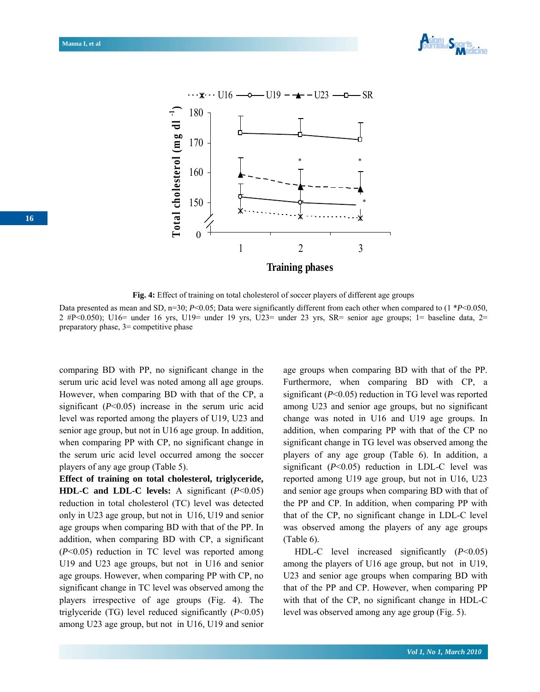



**Fig. 4:** Effect of training on total cholesterol of soccer players of different age groups

Data presented as mean and SD, n=30; *P*<0.05; Data were significantly different from each other when compared to (1 \**P*<0.050,  $2 \text{ }\#P \leq 0.050$ ; U16= under 16 yrs, U19= under 19 yrs, U23= under 23 yrs, SR= senior age groups; 1= baseline data, 2= preparatory phase, 3= competitive phase

comparing BD with PP, no significant change in the serum uric acid level was noted among all age groups. However, when comparing BD with that of the CP, a significant (*P*<0.05) increase in the serum uric acid level was reported among the players of U19, U23 and senior age group, but not in U16 age group. In addition, when comparing PP with CP, no significant change in the serum uric acid level occurred among the soccer players of any age group (Table 5).

**Effect of training on total cholesterol, triglyceride, HDL-C and LDL-C levels:** A significant (*P*<0.05) reduction in total cholesterol (TC) level was detected only in U23 age group, but not in U16, U19 and senior age groups when comparing BD with that of the PP. In addition, when comparing BD with CP, a significant (*P*<0.05) reduction in TC level was reported among U19 and U23 age groups, but not in U16 and senior age groups. However, when comparing PP with CP, no significant change in TC level was observed among the players irrespective of age groups (Fig. 4). The triglyceride (TG) level reduced significantly (*P*<0.05) among U23 age group, but not in U16, U19 and senior age groups when comparing BD with that of the PP. Furthermore, when comparing BD with CP, a significant (*P*<0.05) reduction in TG level was reported among U23 and senior age groups, but no significant change was noted in U16 and U19 age groups. In addition, when comparing PP with that of the CP no significant change in TG level was observed among the players of any age group (Table 6). In addition, a significant (*P*<0.05) reduction in LDL-C level was reported among U19 age group, but not in U16, U23 and senior age groups when comparing BD with that of the PP and CP. In addition, when comparing PP with that of the CP, no significant change in LDL-C level was observed among the players of any age groups (Table 6).

 HDL-C level increased significantly (*P*<0.05) among the players of U16 age group, but not in U19, U23 and senior age groups when comparing BD with that of the PP and CP. However, when comparing PP with that of the CP, no significant change in HDL-C level was observed among any age group (Fig. 5).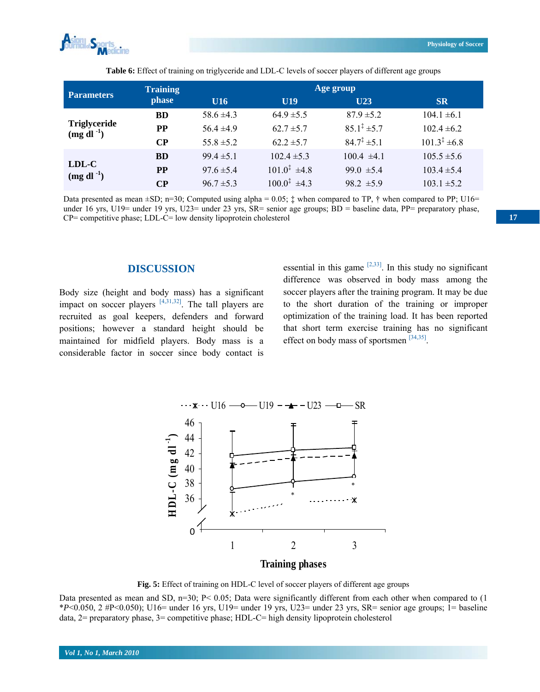

| <b>Parameters</b>                               | <b>Training</b> |                | Age group                    |                           |                         |  |
|-------------------------------------------------|-----------------|----------------|------------------------------|---------------------------|-------------------------|--|
|                                                 | phase           | U16            | U19                          | U23                       | <b>SR</b>               |  |
|                                                 | <b>BD</b>       | 58.6 $\pm$ 4.3 | $64.9 \pm 5.5$               | $87.9 \pm 5.2$            | $104.1 \pm 6.1$         |  |
| <b>Triglyceride</b><br>$(mg \, \text{dl}^{-1})$ | PP              | $56.4 \pm 4.9$ | $62.7 \pm 5.7$               | $85.1^{\ddagger} \pm 5.7$ | $102.4 \pm 6.2$         |  |
|                                                 | <b>CP</b>       | $55.8 \pm 5.2$ | $62.2 \pm 5.7$               | $84.7^{\ddagger} \pm 5.1$ | $101.3^{\ddagger}$ ±6.8 |  |
|                                                 | <b>BD</b>       | $99.4 \pm 5.1$ | $102.4 \pm 5.3$              | $100.4 \pm 4.1$           | $105.5 \pm 5.6$         |  |
| LDL-C<br>$(mg \, \mathrm{dl}^{-1})$             | PP              | $97.6 \pm 5.4$ | $101.0^{\ddagger}$ $\pm 4.8$ | 99.0 $\pm$ 5.4            | $103.4 \pm 5.4$         |  |
|                                                 | CР              | $96.7 \pm 5.3$ | $1000^{\frac{1}{4}}$ ±4 3    | $98.2 \pm 5.9$            | $103.1 \pm 5.2$         |  |

**Table 6:** Effect of training on triglyceride and LDL-C levels of soccer players of different age groups

Data presented as mean  $\pm$ SD; n=30; Computed using alpha = 0.05;  $\ddagger$  when compared to TP,  $\dagger$  when compared to PP; U16= under 16 yrs, U19= under 19 yrs, U23= under 23 yrs, SR= senior age groups; BD = baseline data, PP= preparatory phase, CP= competitive phase; LDL-C= low density lipoprotein cholesterol

#### **DISCUSSION**

Body size (height and body mass) has a significant impact on soccer players  $[4,31,32]$ . The tall players are recruited as goal keepers, defenders and forward positions; however a standard height should be maintained for midfield players. Body mass is a considerable factor in soccer since body contact is

essential in this game  $[2,33]$ . In this study no significant difference was observed in body mass among the soccer players after the training program. It may be due to the short duration of the training or improper optimization of the training load. It has been reported that short term exercise training has no significant effect on body mass of sportsmen [34,35].



**Fig. 5:** Effect of training on HDL-C level of soccer players of different age groups

Data presented as mean and SD, n=30; P< 0.05; Data were significantly different from each other when compared to (1)  $*P<0.050$ , 2 #P<0.050); U16= under 16 yrs, U19= under 19 yrs, U23= under 23 yrs, SR= senior age groups; 1= baseline data, 2= preparatory phase, 3= competitive phase; HDL-C= high density lipoprotein cholesterol

**17**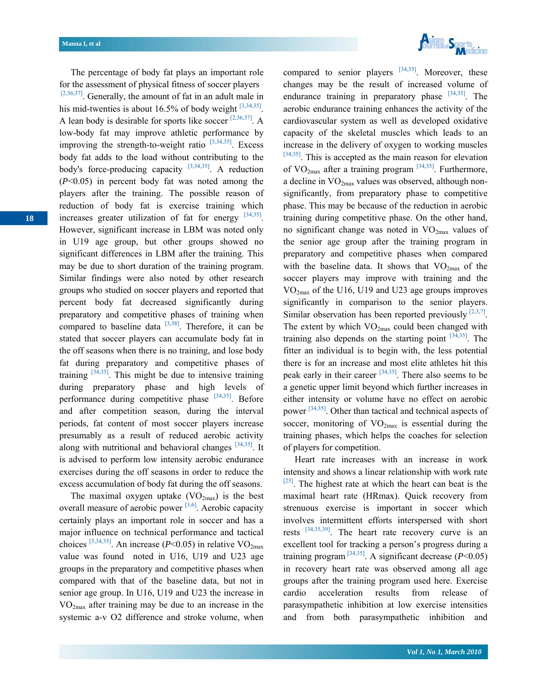Asian Spor

for the assessment of physical fitness of soccer players [2,36,37]. Generally, the amount of fat in an adult male in his mid-twenties is about 16.5% of body weight  $[3,34,35]$ . A lean body is desirable for sports like soccer  $[2,36,37]$ . A low-body fat may improve athletic performance by improving the strength-to-weight ratio  $[3,34,35]$ . Excess body fat adds to the load without contributing to the body's force-producing capacity  $[3,34,35]$ . A reduction (*P*<0.05) in percent body fat was noted among the players after the training. The possible reason of reduction of body fat is exercise training which increases greater utilization of fat for energy [34,35]. However, significant increase in LBM was noted only in U19 age group, but other groups showed no significant differences in LBM after the training. This may be due to short duration of the training program. Similar findings were also noted by other research groups who studied on soccer players and reported that percent body fat decreased significantly during preparatory and competitive phases of training when compared to baseline data  $[3,38]$ . Therefore, it can be stated that soccer players can accumulate body fat in the off seasons when there is no training, and lose body fat during preparatory and competitive phases of training  $[34,35]$ . This might be due to intensive training during preparatory phase and high levels of performance during competitive phase  $[34,35]$ . Before and after competition season, during the interval periods, fat content of most soccer players increase presumably as a result of reduced aerobic activity along with nutritional and behavioral changes  $[34,35]$ . It is advised to perform low intensity aerobic endurance exercises during the off seasons in order to reduce the excess accumulation of body fat during the off seasons.

The percentage of body fat plays an important role

The maximal oxygen uptake  $(VO<sub>2max</sub>)$  is the best overall measure of aerobic power  $[3,6]$ . Aerobic capacity certainly plays an important role in soccer and has a major influence on technical performance and tactical choices <sup>[3,34,35]</sup>. An increase ( $P \le 0.05$ ) in relative VO<sub>2max</sub> value was found noted in U16, U19 and U23 age groups in the preparatory and competitive phases when compared with that of the baseline data, but not in senior age group. In U16, U19 and U23 the increase in  $VO<sub>2max</sub>$  after training may be due to an increase in the systemic a-v O2 difference and stroke volume, when

compared to senior players  $[34,35]$ . Moreover, these changes may be the result of increased volume of endurance training in preparatory phase  $[34,35]$ . The aerobic endurance training enhances the activity of the cardiovascular system as well as developed oxidative capacity of the skeletal muscles which leads to an increase in the delivery of oxygen to working muscles  $[34,35]$ . This is accepted as the main reason for elevation of  $VO<sub>2max</sub>$  after a training program  $[34,35]$ . Furthermore, a decline in  $VO_{2max}$  values was observed, although nonsignificantly, from preparatory phase to competitive phase. This may be because of the reduction in aerobic training during competitive phase. On the other hand, no significant change was noted in  $VO<sub>2max</sub>$  values of the senior age group after the training program in preparatory and competitive phases when compared with the baseline data. It shows that  $VO_{2max}$  of the soccer players may improve with training and the VO2max of the U16, U19 and U23 age groups improves significantly in comparison to the senior players. Similar observation has been reported previously  $[2,3,7]$ . The extent by which  $VO_{2max}$  could been changed with training also depends on the starting point  $[34,35]$ . The fitter an individual is to begin with, the less potential there is for an increase and most elite athletes hit this peak early in their career  $[34,35]$ . There also seems to be a genetic upper limit beyond which further increases in either intensity or volume have no effect on aerobic power [34,35]. Other than tactical and technical aspects of soccer, monitoring of  $VO<sub>2max</sub>$  is essential during the training phases, which helps the coaches for selection of players for competition.

 Heart rate increases with an increase in work intensity and shows a linear relationship with work rate  $[23]$ . The highest rate at which the heart can beat is the maximal heart rate (HRmax). Quick recovery from strenuous exercise is important in soccer which involves intermittent efforts interspersed with short rests [34,35,39]. The heart rate recovery curve is an excellent tool for tracking a person's progress during a training program  $^{[34,35]}$ . A significant decrease ( $P < 0.05$ ) in recovery heart rate was observed among all age groups after the training program used here. Exercise cardio acceleration results from release of parasympathetic inhibition at low exercise intensities and from both parasympathetic inhibition and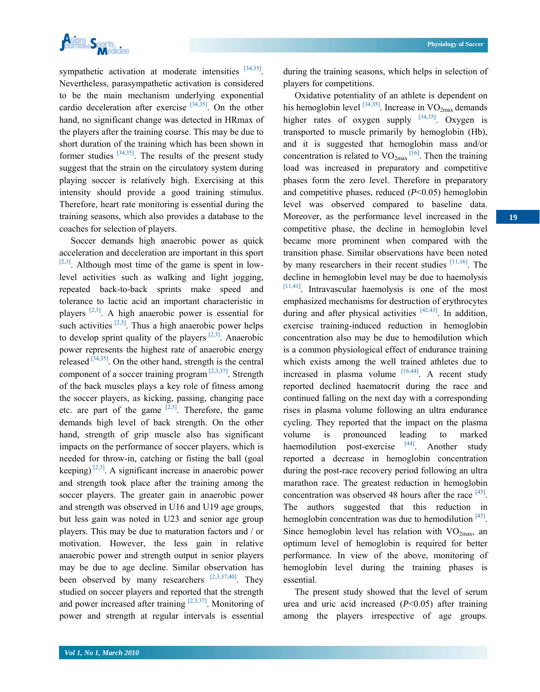

sympathetic activation at moderate intensities [34,35]. Nevertheless, parasympathetic activation is considered to be the main mechanism underlying exponential cardio deceleration after exercise  $[34,35]$ . On the other hand, no significant change was detected in HRmax of the players after the training course. This may be due to short duration of the training which has been shown in former studies  $[34,35]$ . The results of the present study suggest that the strain on the circulatory system during playing soccer is relatively high. Exercising at this intensity should provide a good training stimulus. Therefore, heart rate monitoring is essential during the training seasons, which also provides a database to the coaches for selection of players.

 Soccer demands high anaerobic power as quick acceleration and deceleration are important in this sport  $[2,3]$ . Although most time of the game is spent in lowlevel activities such as walking and light jogging, repeated back-to-back sprints make speed and tolerance to lactic acid an important characteristic in players  $[2,3]$ . A high anaerobic power is essential for such activities  $[2,3]$ . Thus a high anaerobic power helps to develop sprint quality of the players  $[2,3]$ . Anaerobic power represents the highest rate of anaerobic energy released  $[34,35]$ . On the other hand, strength is the central component of a soccer training program  $[2,3,37]$ . Strength of the back muscles plays a key role of fitness among the soccer players, as kicking, passing, changing pace etc. are part of the game  $[2,3]$ . Therefore, the game demands high level of back strength. On the other hand, strength of grip muscle also has significant impacts on the performance of soccer players, which is needed for throw-in, catching or fisting the ball (goal keeping)  $[2,3]$ . A significant increase in anaerobic power and strength took place after the training among the soccer players. The greater gain in anaerobic power and strength was observed in U16 and U19 age groups, but less gain was noted in U23 and senior age group players. This may be due to maturation factors and / or motivation. However, the less gain in relative anaerobic power and strength output in senior players may be due to age decline. Similar observation has been observed by many researchers  $[2,3,37,40]$ . They studied on soccer players and reported that the strength and power increased after training  $[2,3,37]$ . Monitoring of power and strength at regular intervals is essential

during the training seasons, which helps in selection of players for competitions.

 Oxidative potentiality of an athlete is dependent on his hemoglobin level  $^{[34,35]}$ . Increase in VO<sub>2max</sub> demands higher rates of oxygen supply  $[34,35]$ . Oxygen is transported to muscle primarily by hemoglobin (Hb), and it is suggested that hemoglobin mass and/or concentration is related to  $VO_{2max}$ <sup>[16]</sup>. Then the training load was increased in preparatory and competitive phases form the zero level. Therefore in preparatory and competitive phases, reduced (*P*<0.05) hemoglobin level was observed compared to baseline data. Moreover, as the performance level increased in the competitive phase, the decline in hemoglobin level became more prominent when compared with the transition phase. Similar observations have been noted by many researchers in their recent studies  $[11,16]$ . The decline in hemoglobin level may be due to haemolysis [11,41]. Intravascular haemolysis is one of the most emphasized mechanisms for destruction of erythrocytes during and after physical activities  $[42,43]$ . In addition, exercise training-induced reduction in hemoglobin concentration also may be due to hemodilution which is a common physiological effect of endurance training which exists among the well trained athletes due to increased in plasma volume  $[16,44]$ . A recent study reported declined haematocrit during the race and continued falling on the next day with a corresponding rises in plasma volume following an ultra endurance cycling. They reported that the impact on the plasma volume is pronounced leading to marked haemodilution post-exercise  $[44]$ . Another study reported a decrease in hemoglobin concentration during the post-race recovery period following an ultra marathon race. The greatest reduction in hemoglobin concentration was observed 48 hours after the race [45]. The authors suggested that this reduction in hemoglobin concentration was due to hemodilution  $[45]$ . Since hemoglobin level has relation with  $VO<sub>2max</sub>$ , an optimum level of hemoglobin is required for better performance. In view of the above, monitoring of hemoglobin level during the training phases is essential.

 The present study showed that the level of serum urea and uric acid increased (*P*<0.05) after training among the players irrespective of age groups.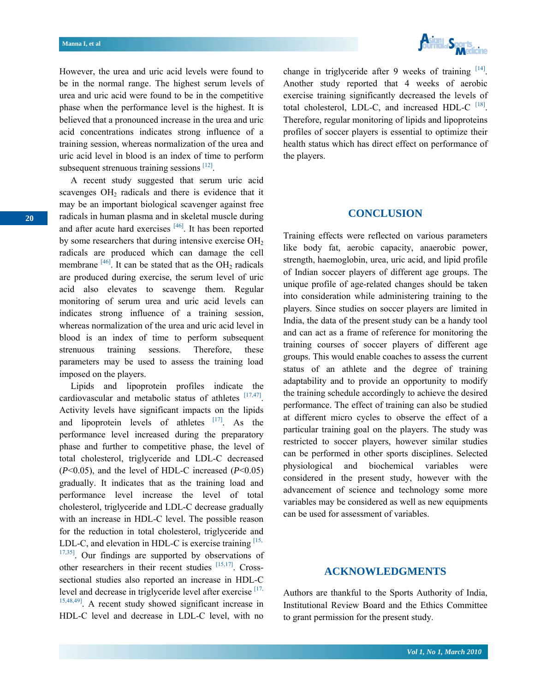

However, the urea and uric acid levels were found to be in the normal range. The highest serum levels of urea and uric acid were found to be in the competitive phase when the performance level is the highest. It is believed that a pronounced increase in the urea and uric acid concentrations indicates strong influence of a training session, whereas normalization of the urea and uric acid level in blood is an index of time to perform subsequent strenuous training sessions [12].

 A recent study suggested that serum uric acid scavenges  $OH<sub>2</sub>$  radicals and there is evidence that it may be an important biological scavenger against free radicals in human plasma and in skeletal muscle during and after acute hard exercises  $[46]$ . It has been reported by some researchers that during intensive exercise  $OH<sub>2</sub>$ radicals are produced which can damage the cell membrane  $[46]$ . It can be stated that as the OH<sub>2</sub> radicals are produced during exercise, the serum level of uric acid also elevates to scavenge them. Regular monitoring of serum urea and uric acid levels can indicates strong influence of a training session, whereas normalization of the urea and uric acid level in blood is an index of time to perform subsequent strenuous training sessions. Therefore, these parameters may be used to assess the training load imposed on the players.

 Lipids and lipoprotein profiles indicate the cardiovascular and metabolic status of athletes [17,47]. Activity levels have significant impacts on the lipids and lipoprotein levels of athletes  $[17]$ . As the performance level increased during the preparatory phase and further to competitive phase, the level of total cholesterol, triglyceride and LDL-C decreased (*P*<0.05), and the level of HDL-C increased (*P*<0.05) gradually. It indicates that as the training load and performance level increase the level of total cholesterol, triglyceride and LDL-C decrease gradually with an increase in HDL-C level. The possible reason for the reduction in total cholesterol, triglyceride and LDL-C, and elevation in HDL-C is exercise training  $[15, 10]$  $17,35$ . Our findings are supported by observations of other researchers in their recent studies  $[15,17]$ . Crosssectional studies also reported an increase in HDL-C level and decrease in triglyceride level after exercise [17, 15,48,49]. A recent study showed significant increase in HDL-C level and decrease in LDL-C level, with no change in triglyceride after 9 weeks of training  $[14]$ . Another study reported that 4 weeks of aerobic exercise training significantly decreased the levels of total cholesterol, LDL-C, and increased HDL-C <sup>[18]</sup>. Therefore, regular monitoring of lipids and lipoproteins profiles of soccer players is essential to optimize their health status which has direct effect on performance of the players.

## **CONCLUSION**

Training effects were reflected on various parameters like body fat, aerobic capacity, anaerobic power, strength, haemoglobin, urea, uric acid, and lipid profile of Indian soccer players of different age groups. The unique profile of age-related changes should be taken into consideration while administering training to the players. Since studies on soccer players are limited in India, the data of the present study can be a handy tool and can act as a frame of reference for monitoring the training courses of soccer players of different age groups. This would enable coaches to assess the current status of an athlete and the degree of training adaptability and to provide an opportunity to modify the training schedule accordingly to achieve the desired performance. The effect of training can also be studied at different micro cycles to observe the effect of a particular training goal on the players. The study was restricted to soccer players, however similar studies can be performed in other sports disciplines. Selected physiological and biochemical variables were considered in the present study, however with the advancement of science and technology some more variables may be considered as well as new equipments can be used for assessment of variables.

#### **ACKNOWLEDGMENTS**

Authors are thankful to the Sports Authority of India, Institutional Review Board and the Ethics Committee to grant permission for the present study.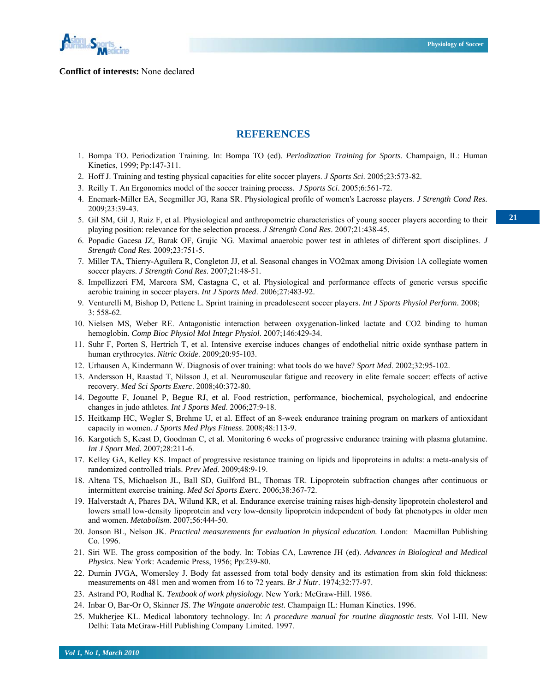

#### **Conflict of interests:** None declared

#### **REFERENCES**

- 1. Bompa TO. Periodization Training. In: Bompa TO (ed). *Periodization Training for Sports*. Champaign, IL: Human Kinetics, 1999; Pp:147-311.
- 2. Hoff J. Training and testing physical capacities for elite soccer players. *J Sports Sci*. 2005;23:573-82.
- 3. Reilly T. An Ergonomics model of the soccer training process. *J Sports Sci*. 2005;6:561-72.
- 4. Enemark-Miller EA, Seegmiller JG, Rana SR. Physiological profile of women's Lacrosse players. *J Strength Cond Res*. 2009;23:39-43.
- 5. Gil SM, Gil J, Ruiz F, et al. Physiological and anthropometric characteristics of young soccer players according to their playing position: relevance for the selection process. *J Strength Cond Res*. 2007;21:438-45.
- 6. Popadic Gacesa JZ, Barak OF, Grujic NG. Maximal anaerobic power test in athletes of different sport disciplines. *J Strength Cond Res*. 2009;23:751-5.
- 7. Miller TA, Thierry-Aguilera R, Congleton JJ, et al. Seasonal changes in VO2max among Division 1A collegiate women soccer players. *J Strength Cond Res*. 2007;21:48-51.
- 8. Impellizzeri FM, Marcora SM, Castagna C, et al. Physiological and performance effects of generic versus specific aerobic training in soccer players. *Int J Sports Med*. 2006;27:483-92.
- 9. Venturelli M, Bishop D, Pettene L. Sprint training in preadolescent soccer players. *Int J Sports Physiol Perform*. 2008;  $3.558 - 62.$
- 10. Nielsen MS, Weber RE. Antagonistic interaction between oxygenation-linked lactate and CO2 binding to human hemoglobin. *Comp Bioc Physiol Mol Integr Physiol*. 2007;146:429-34.
- 11. Suhr F, Porten S, Hertrich T, et al. Intensive exercise induces changes of endothelial nitric oxide synthase pattern in human erythrocytes. *Nitric Oxide*. 2009;20:95-103.
- 12. Urhausen A, Kindermann W. Diagnosis of over training: what tools do we have? *Sport Med*. 2002;32:95-102.
- 13. Andersson H, Raastad T, Nilsson J, et al. Neuromuscular fatigue and recovery in elite female soccer: effects of active recovery. *Med Sci Sports Exerc*. 2008;40:372-80.
- 14. Degoutte F, Jouanel P, Begue RJ, et al. Food restriction, performance, biochemical, psychological, and endocrine changes in judo athletes. *Int J Sports Med*. 2006;27:9-18.
- 15. Heitkamp HC, Wegler S, Brehme U, et al. Effect of an 8-week endurance training program on markers of antioxidant capacity in women. *J Sports Med Phys Fitness*. 2008;48:113-9.
- 16. Kargotich S, Keast D, Goodman C, et al. Monitoring 6 weeks of progressive endurance training with plasma glutamine. *Int J Sport Med*. 2007;28:211-6.
- 17. Kelley GA, Kelley KS. Impact of progressive resistance training on lipids and lipoproteins in adults: a meta-analysis of randomized controlled trials. *Prev Med*. 2009;48:9-19.
- 18. Altena TS, Michaelson JL, Ball SD, Guilford BL, Thomas TR. Lipoprotein subfraction changes after continuous or intermittent exercise training. *Med Sci Sports Exerc*. 2006;38:367-72.
- 19. Halverstadt A, Phares DA, Wilund KR, et al. Endurance exercise training raises high-density lipoprotein cholesterol and lowers small low-density lipoprotein and very low-density lipoprotein independent of body fat phenotypes in older men and women. *Metabolism*. 2007;56:444-50.
- 20. Jonson BL, Nelson JK. *Practical measurements for evaluation in physical education.* London: Macmillan Publishing Co. 1996.
- 21. Siri WE. The gross composition of the body. In: Tobias CA, Lawrence JH (ed). *Advances in Biological and Medical Physics*. New York: Academic Press, 1956; Pp:239-80.
- 22. Durnin JVGA, Womersley J. Body fat assessed from total body density and its estimation from skin fold thickness: measurements on 481 men and women from 16 to 72 years. *Br J Nutr*. 1974;32:77-97.
- 23. Astrand PO, Rodhal K. *Textbook of work physiology*. New York: McGraw-Hill. 1986.
- 24. Inbar O, Bar-Or O, Skinner JS. *The Wingate anaerobic test*. Champaign IL: Human Kinetics. 1996.
- 25. Mukherjee KL. Medical laboratory technology. In: *A procedure manual for routine diagnostic tests*. Vol I-III. New Delhi: Tata McGraw-Hill Publishing Company Limited. 1997.